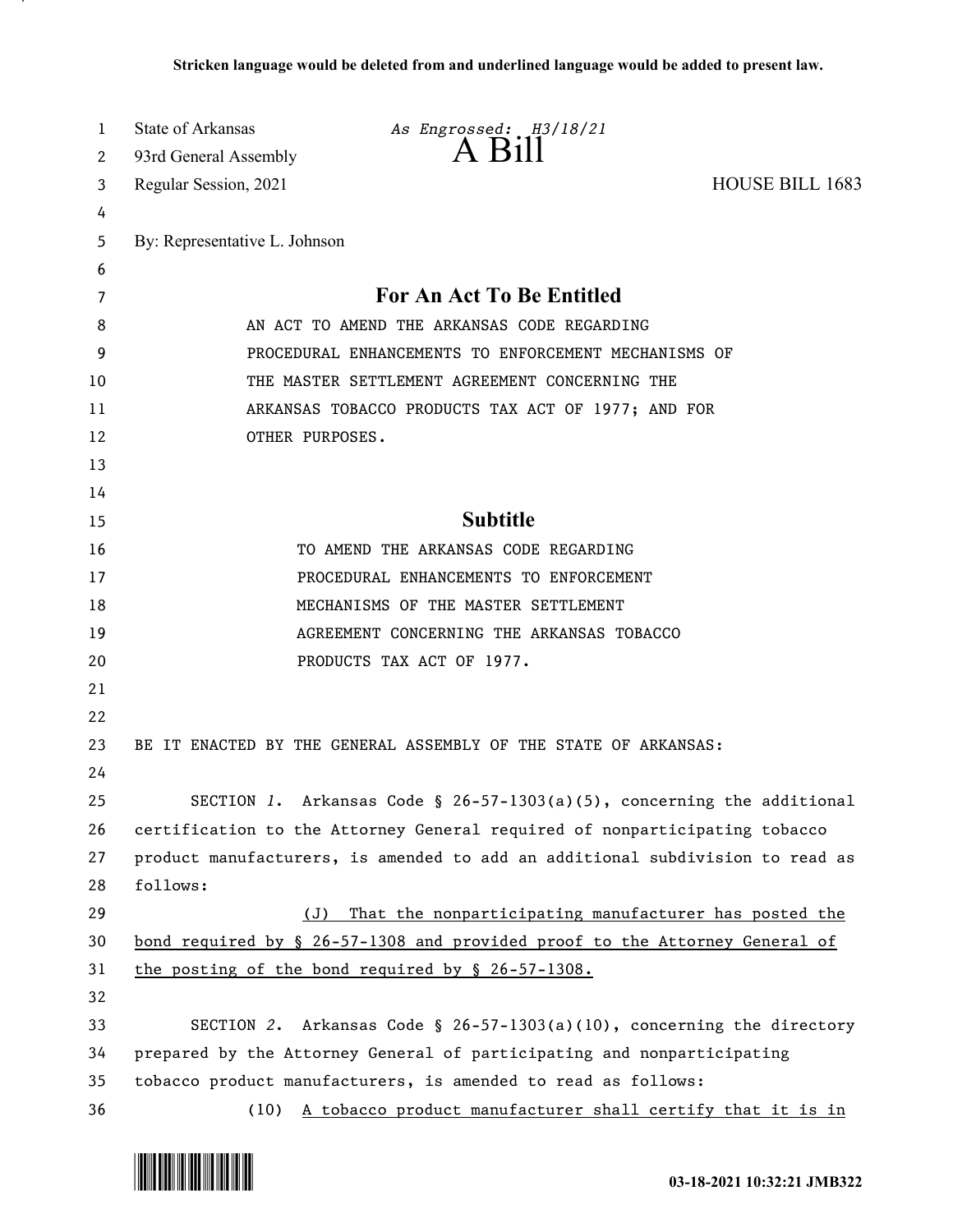| 1  | State of Arkansas                                                      | As Engrossed: H3/18/21                                                             |                        |  |
|----|------------------------------------------------------------------------|------------------------------------------------------------------------------------|------------------------|--|
| 2  | 93rd General Assembly                                                  | A Bill                                                                             |                        |  |
| 3  | Regular Session, 2021                                                  |                                                                                    | <b>HOUSE BILL 1683</b> |  |
| 4  |                                                                        |                                                                                    |                        |  |
| 5  | By: Representative L. Johnson                                          |                                                                                    |                        |  |
| 6  |                                                                        |                                                                                    |                        |  |
| 7  |                                                                        | For An Act To Be Entitled                                                          |                        |  |
| 8  |                                                                        | AN ACT TO AMEND THE ARKANSAS CODE REGARDING                                        |                        |  |
| 9  | PROCEDURAL ENHANCEMENTS TO ENFORCEMENT MECHANISMS OF                   |                                                                                    |                        |  |
| 10 |                                                                        | THE MASTER SETTLEMENT AGREEMENT CONCERNING THE                                     |                        |  |
| 11 |                                                                        | ARKANSAS TOBACCO PRODUCTS TAX ACT OF 1977; AND FOR                                 |                        |  |
| 12 | OTHER PURPOSES.                                                        |                                                                                    |                        |  |
| 13 |                                                                        |                                                                                    |                        |  |
| 14 |                                                                        |                                                                                    |                        |  |
| 15 |                                                                        | <b>Subtitle</b>                                                                    |                        |  |
| 16 |                                                                        | TO AMEND THE ARKANSAS CODE REGARDING                                               |                        |  |
| 17 |                                                                        | PROCEDURAL ENHANCEMENTS TO ENFORCEMENT                                             |                        |  |
| 18 |                                                                        | MECHANISMS OF THE MASTER SETTLEMENT                                                |                        |  |
| 19 |                                                                        | AGREEMENT CONCERNING THE ARKANSAS TOBACCO                                          |                        |  |
| 20 |                                                                        | PRODUCTS TAX ACT OF 1977.                                                          |                        |  |
| 21 |                                                                        |                                                                                    |                        |  |
| 22 |                                                                        |                                                                                    |                        |  |
| 23 |                                                                        | BE IT ENACTED BY THE GENERAL ASSEMBLY OF THE STATE OF ARKANSAS:                    |                        |  |
| 24 |                                                                        |                                                                                    |                        |  |
| 25 |                                                                        | SECTION 1. Arkansas Code § 26-57-1303(a)(5), concerning the additional             |                        |  |
| 26 |                                                                        | certification to the Attorney General required of nonparticipating tobacco         |                        |  |
| 27 |                                                                        | product manufacturers, is amended to add an additional subdivision to read as      |                        |  |
| 28 | follows:                                                               |                                                                                    |                        |  |
| 29 | (J)                                                                    | That the nonparticipating manufacturer has posted the                              |                        |  |
| 30 |                                                                        | <u>bond required by § 26-57-1308 and provided proof to the Attorney General of</u> |                        |  |
| 31 |                                                                        | the posting of the bond required by § 26-57-1308.                                  |                        |  |
| 32 |                                                                        |                                                                                    |                        |  |
| 33 |                                                                        | SECTION 2. Arkansas Code § 26-57-1303(a)(10), concerning the directory             |                        |  |
| 34 | prepared by the Attorney General of participating and nonparticipating |                                                                                    |                        |  |
| 35 |                                                                        | tobacco product manufacturers, is amended to read as follows:                      |                        |  |
| 36 |                                                                        | (10) A tobacco product manufacturer shall certify that it is in                    |                        |  |

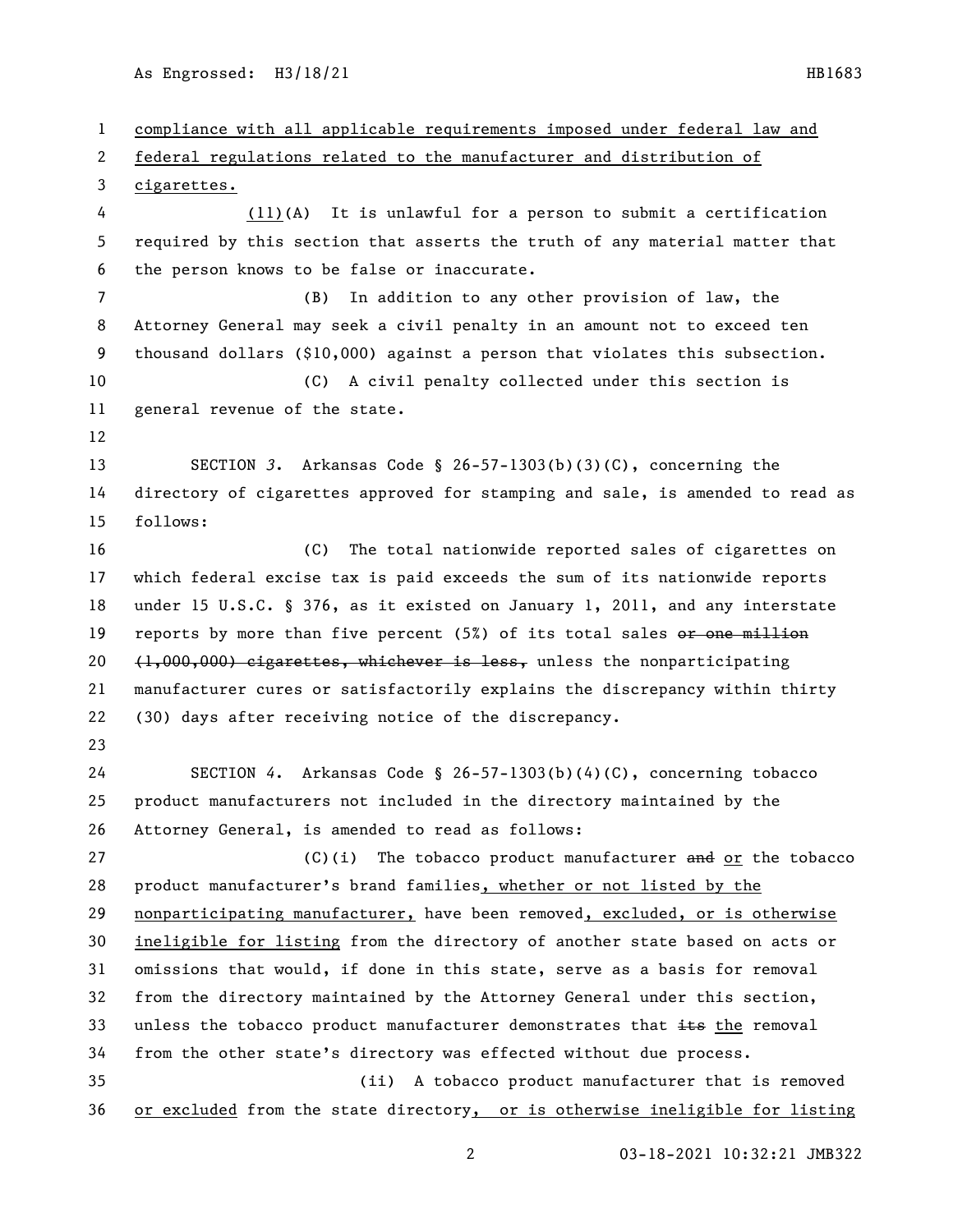compliance with all applicable requirements imposed under federal law and federal regulations related to the manufacturer and distribution of cigarettes. (11)(A) It is unlawful for a person to submit a certification required by this section that asserts the truth of any material matter that the person knows to be false or inaccurate. (B) In addition to any other provision of law, the Attorney General may seek a civil penalty in an amount not to exceed ten thousand dollars (\$10,000) against a person that violates this subsection. (C) A civil penalty collected under this section is general revenue of the state. SECTION *3*. Arkansas Code § 26-57-1303(b)(3)(C), concerning the directory of cigarettes approved for stamping and sale, is amended to read as follows: (C) The total nationwide reported sales of cigarettes on which federal excise tax is paid exceeds the sum of its nationwide reports under 15 U.S.C. § 376, as it existed on January 1, 2011, and any interstate 19 reports by more than five percent (5%) of its total sales or one million 20 (1,000,000) cigarettes, whichever is less, unless the nonparticipating manufacturer cures or satisfactorily explains the discrepancy within thirty (30) days after receiving notice of the discrepancy. SECTION *4*. Arkansas Code § 26-57-1303(b)(4)(C), concerning tobacco product manufacturers not included in the directory maintained by the Attorney General, is amended to read as follows: 27 (C)(i) The tobacco product manufacturer and or the tobacco product manufacturer's brand families, whether or not listed by the nonparticipating manufacturer, have been removed, excluded, or is otherwise ineligible for listing from the directory of another state based on acts or omissions that would, if done in this state, serve as a basis for removal from the directory maintained by the Attorney General under this section, 33 unless the tobacco product manufacturer demonstrates that  $\pm\epsilon$  the removal from the other state's directory was effected without due process. (ii) A tobacco product manufacturer that is removed or excluded from the state directory, or is otherwise ineligible for listing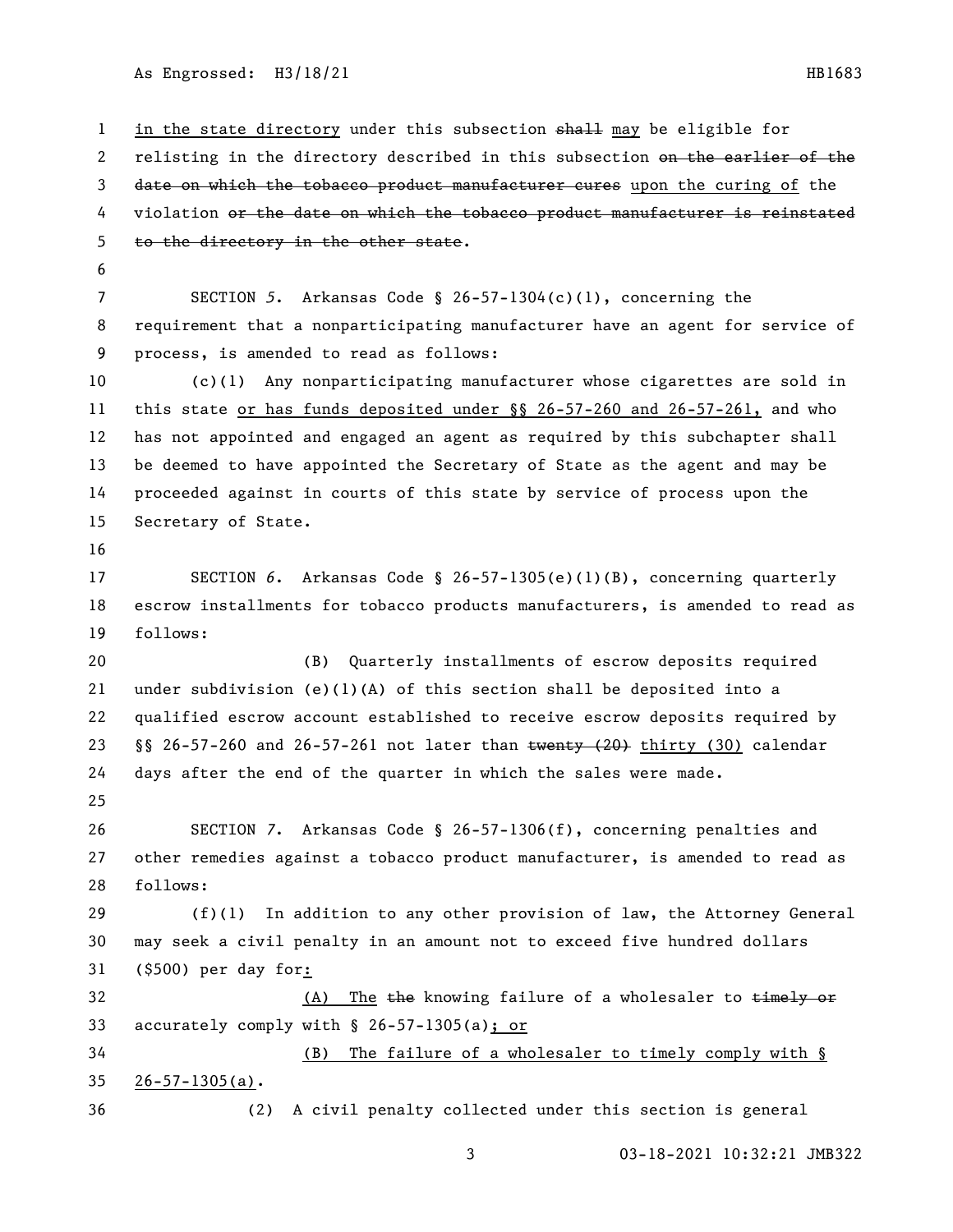1 in the state directory under this subsection shall may be eligible for 2 relisting in the directory described in this subsection on the earlier of the 3 date on which the tobacco product manufacturer cures upon the curing of the 4 violation or the date on which the tobacco product manufacturer is reinstated to the directory in the other state. SECTION *5*. Arkansas Code § 26-57-1304(c)(1), concerning the requirement that a nonparticipating manufacturer have an agent for service of process, is amended to read as follows: (c)(1) Any nonparticipating manufacturer whose cigarettes are sold in this state or has funds deposited under §§ 26-57-260 and 26-57-261, and who has not appointed and engaged an agent as required by this subchapter shall be deemed to have appointed the Secretary of State as the agent and may be proceeded against in courts of this state by service of process upon the Secretary of State. SECTION *6*. Arkansas Code § 26-57-1305(e)(1)(B), concerning quarterly escrow installments for tobacco products manufacturers, is amended to read as follows: (B) Quarterly installments of escrow deposits required 21 under subdivision  $(e)(1)(A)$  of this section shall be deposited into a qualified escrow account established to receive escrow deposits required by §§ 26-57-260 and 26-57-261 not later than twenty (20) thirty (30) calendar days after the end of the quarter in which the sales were made. SECTION *7*. Arkansas Code § 26-57-1306(f), concerning penalties and other remedies against a tobacco product manufacturer, is amended to read as follows: (f)(1) In addition to any other provision of law, the Attorney General may seek a civil penalty in an amount not to exceed five hundred dollars (\$500) per day for: 32 (A) The the knowing failure of a wholesaler to timely or accurately comply with § 26-57-1305(a); or (B) The failure of a wholesaler to timely comply with § 26-57-1305(a). (2) A civil penalty collected under this section is general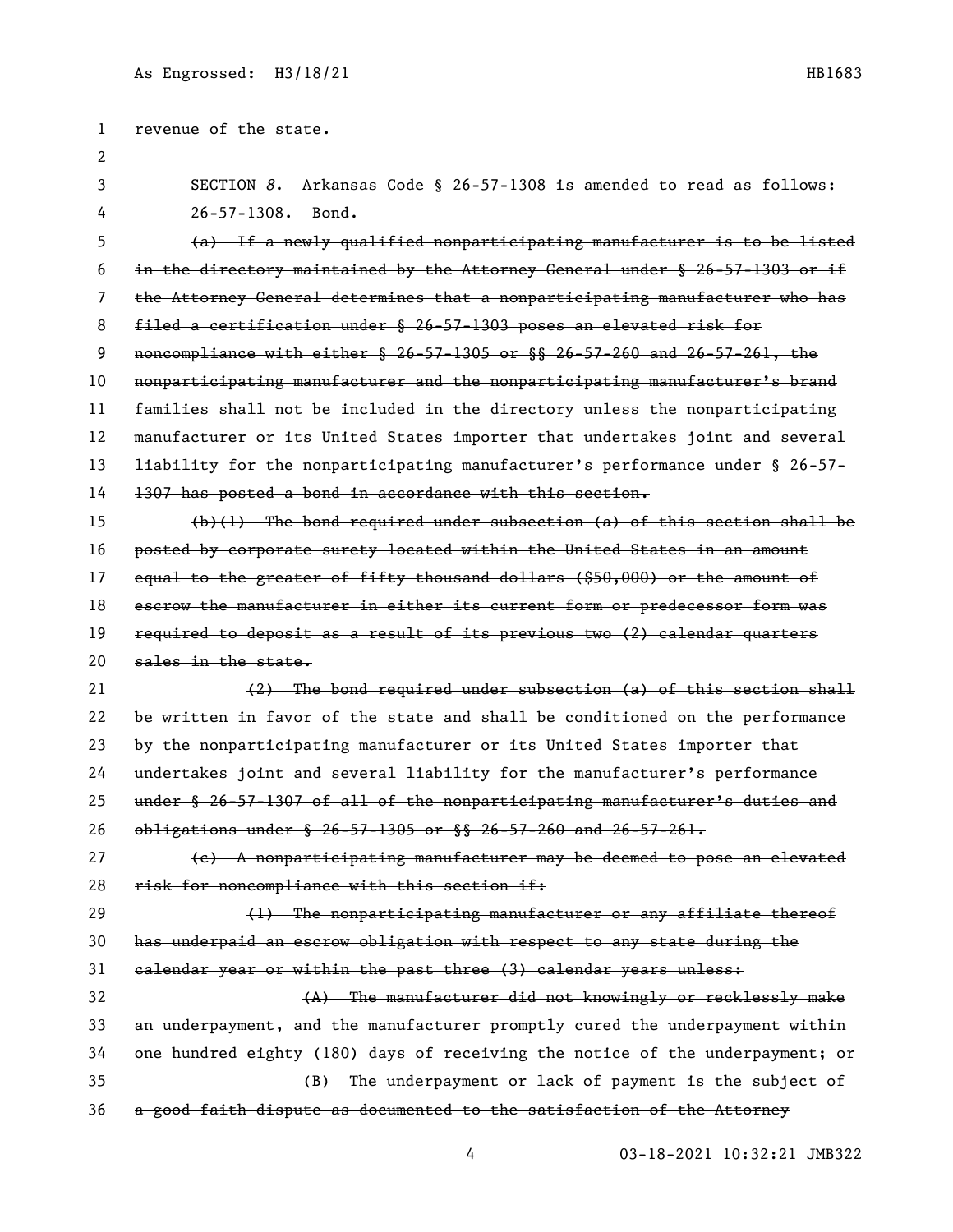revenue of the state. SECTION *8*. Arkansas Code § 26-57-1308 is amended to read as follows: 26-57-1308. Bond. (a) If a newly qualified nonparticipating manufacturer is to be listed in the directory maintained by the Attorney General under § 26-57-1303 or if the Attorney General determines that a nonparticipating manufacturer who has filed a certification under § 26-57-1303 poses an elevated risk for noncompliance with either § 26-57-1305 or §§ 26-57-260 and 26-57-261, the nonparticipating manufacturer and the nonparticipating manufacturer's brand families shall not be included in the directory unless the nonparticipating 12 manufacturer or its United States importer that undertakes joint and several liability for the nonparticipating manufacturer's performance under § 26-57- 1307 has posted a bond in accordance with this section.  $(b)(1)$  The bond required under subsection (a) of this section shall be posted by corporate surety located within the United States in an amount 17 equal to the greater of fifty thousand dollars (\$50,000) or the amount of 18 escrow the manufacturer in either its current form or predecessor form was required to deposit as a result of its previous two (2) calendar quarters 20 sales in the state. (2) The bond required under subsection (a) of this section shall be written in favor of the state and shall be conditioned on the performance 23 by the nonparticipating manufacturer or its United States importer that undertakes joint and several liability for the manufacturer's performance under § 26-57-1307 of all of the nonparticipating manufacturer's duties and obligations under § 26-57-1305 or §§ 26-57-260 and 26-57-261. 27 (e) A nonparticipating manufacturer may be deemed to pose an elevated 28 risk for noncompliance with this section if: 29 (1) The nonparticipating manufacturer or any affiliate thereof has underpaid an escrow obligation with respect to any state during the calendar year or within the past three (3) calendar years unless: (A) The manufacturer did not knowingly or recklessly make an underpayment, and the manufacturer promptly cured the underpayment within one hundred eighty (180) days of receiving the notice of the underpayment; or (B) The underpayment or lack of payment is the subject of a good faith dispute as documented to the satisfaction of the Attorney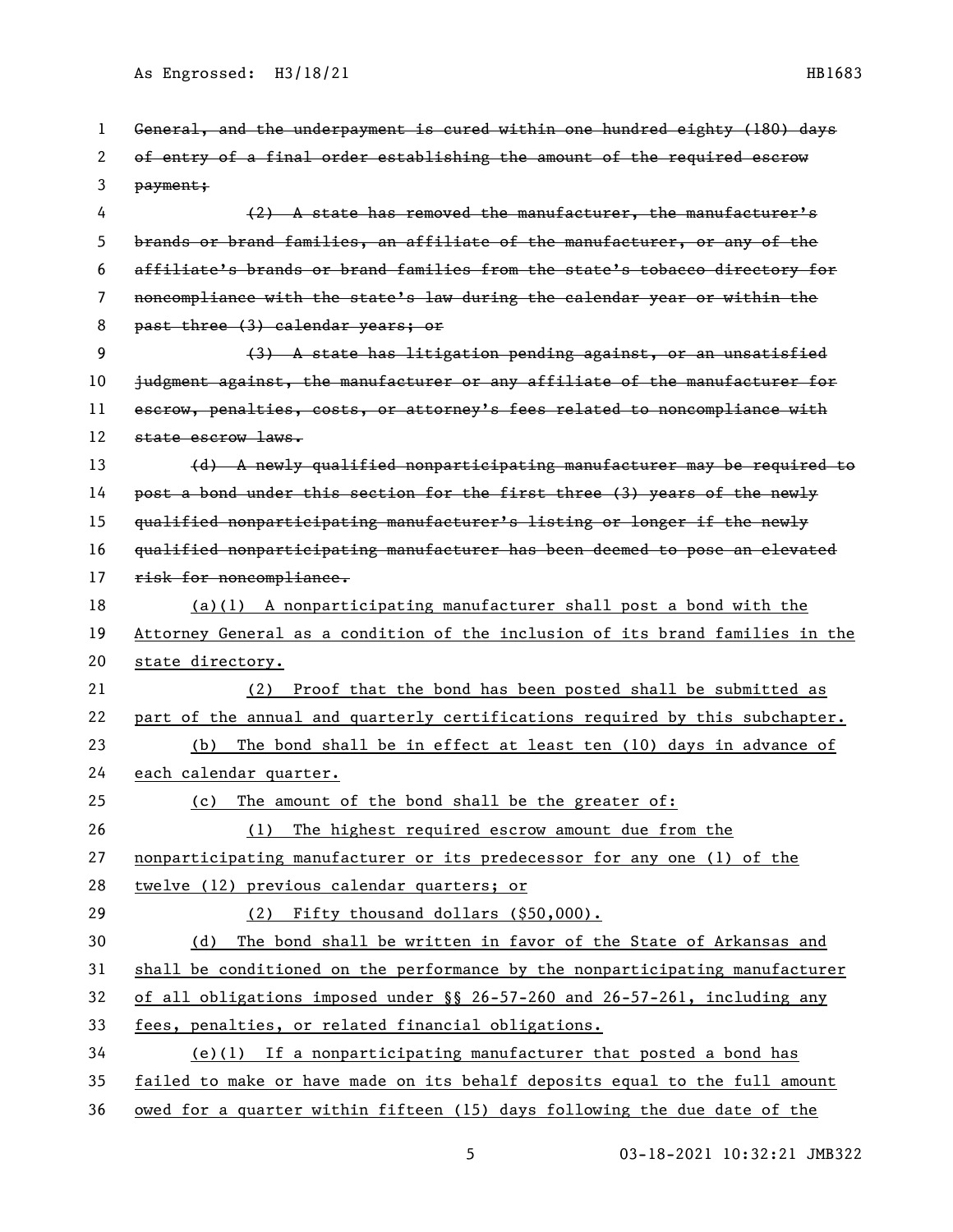| 1  | General, and the underpayment is cured within one hundred eighty (180) days   |
|----|-------------------------------------------------------------------------------|
| 2  | of entry of a final order establishing the amount of the required escrow      |
| 3  | payment;                                                                      |
| 4  | (2) A state has removed the manufacturer, the manufacturer's                  |
| 5  | brands or brand families, an affiliate of the manufacturer, or any of the     |
| 6  | affiliate's brands or brand families from the state's tobacco directory for   |
| 7  | noncompliance with the state's law during the calendar year or within the     |
| 8  | past three (3) calendar years; or                                             |
| 9  | (3) A state has litigation pending against, or an unsatisfied                 |
| 10 | judgment against, the manufacturer or any affiliate of the manufacturer for   |
| 11 | escrow, penalties, costs, or attorney's fees related to noncompliance with    |
| 12 | state escrow laws.                                                            |
| 13 | (d) A newly qualified nonparticipating manufacturer may be required to        |
| 14 | post a bond under this section for the first three (3) years of the newly     |
| 15 | qualified nonparticipating manufacturer's listing or longer if the newly      |
| 16 | qualified nonparticipating manufacturer has been deemed to pose an elevated   |
| 17 | risk for noncompliance.                                                       |
| 18 | $(a)(1)$ A nonparticipating manufacturer shall post a bond with the           |
| 19 | Attorney General as a condition of the inclusion of its brand families in the |
| 20 | state directory.                                                              |
| 21 | (2) Proof that the bond has been posted shall be submitted as                 |
| 22 | part of the annual and quarterly certifications required by this subchapter.  |
| 23 | The bond shall be in effect at least ten (10) days in advance of<br>(b)       |
| 24 | each calendar quarter.                                                        |
| 25 | The amount of the bond shall be the greater of:<br>(c)                        |
| 26 | The highest required escrow amount due from the<br>(1)                        |
| 27 | nonparticipating manufacturer or its predecessor for any one (1) of the       |
| 28 | twelve (12) previous calendar quarters; or                                    |
| 29 | (2) Fifty thousand dollars (\$50,000).                                        |
| 30 | The bond shall be written in favor of the State of Arkansas and<br>(d)        |
| 31 | shall be conditioned on the performance by the nonparticipating manufacturer  |
| 32 | of all obligations imposed under §§ 26-57-260 and 26-57-261, including any    |
| 33 | fees, penalties, or related financial obligations.                            |
| 34 | $(e)(1)$ If a nonparticipating manufacturer that posted a bond has            |
| 35 | failed to make or have made on its behalf deposits equal to the full amount   |
| 36 | owed for a quarter within fifteen (15) days following the due date of the     |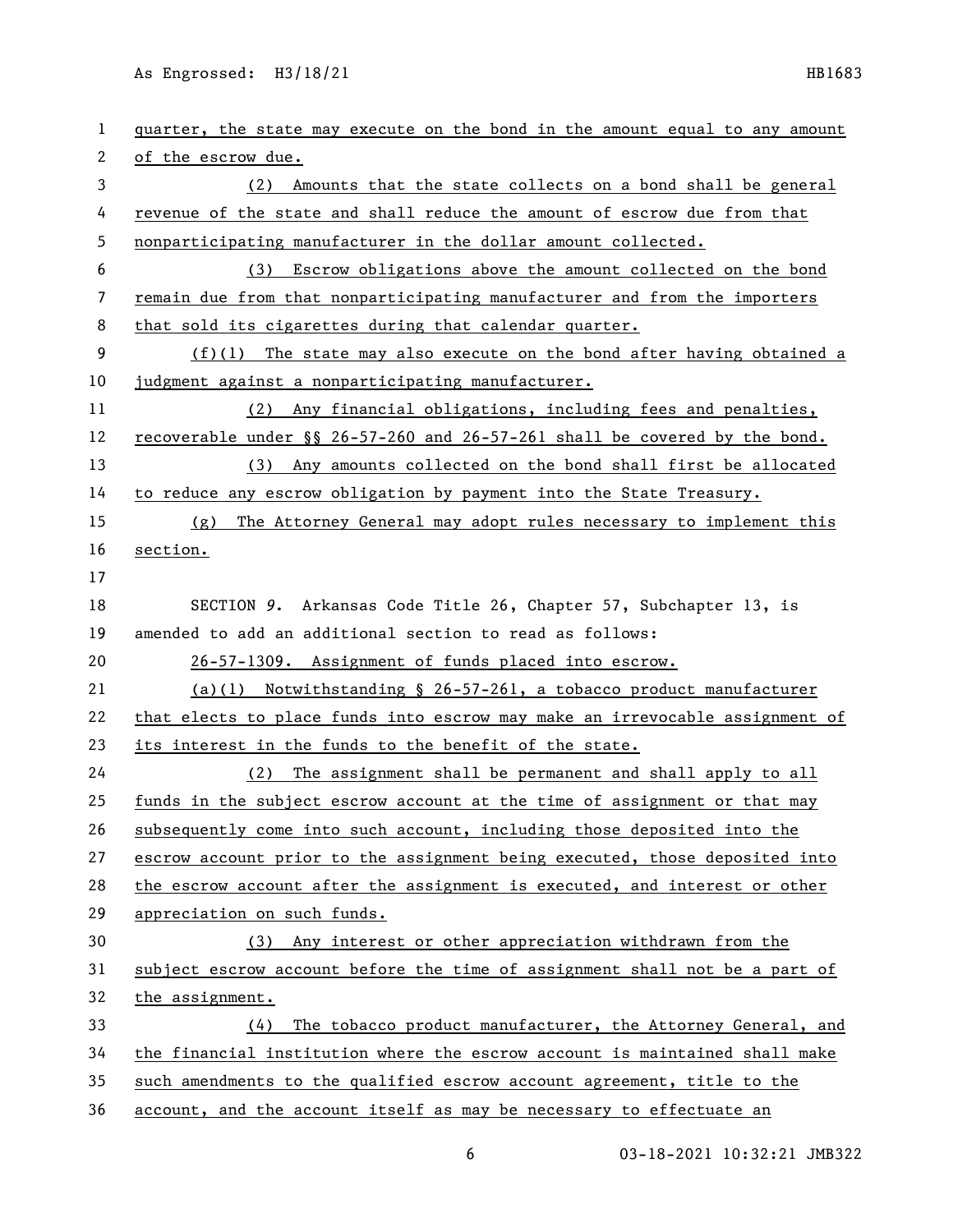| 1  | quarter, the state may execute on the bond in the amount equal to any amount |
|----|------------------------------------------------------------------------------|
| 2  | of the escrow due.                                                           |
| 3  | Amounts that the state collects on a bond shall be general<br>(2)            |
| 4  | revenue of the state and shall reduce the amount of escrow due from that     |
| 5  | nonparticipating manufacturer in the dollar amount collected.                |
| 6  | (3) Escrow obligations above the amount collected on the bond                |
| 7  | remain due from that nonparticipating manufacturer and from the importers    |
| 8  | that sold its cigarettes during that calendar quarter.                       |
| 9  | $(f)(1)$ The state may also execute on the bond after having obtained a      |
| 10 | judgment against a nonparticipating manufacturer.                            |
| 11 | (2) Any financial obligations, including fees and penalties,                 |
| 12 | recoverable under §§ 26-57-260 and 26-57-261 shall be covered by the bond.   |
| 13 | (3) Any amounts collected on the bond shall first be allocated               |
| 14 | to reduce any escrow obligation by payment into the State Treasury.          |
| 15 | The Attorney General may adopt rules necessary to implement this<br>(g)      |
| 16 | section.                                                                     |
| 17 |                                                                              |
| 18 | SECTION 9. Arkansas Code Title 26, Chapter 57, Subchapter 13, is             |
| 19 | amended to add an additional section to read as follows:                     |
| 20 | 26-57-1309. Assignment of funds placed into escrow.                          |
| 21 | $(a)(1)$ Notwithstanding § 26-57-261, a tobacco product manufacturer         |
| 22 | that elects to place funds into escrow may make an irrevocable assignment of |
| 23 | its interest in the funds to the benefit of the state.                       |
| 24 | (2) The assignment shall be permanent and shall apply to all                 |
| 25 | funds in the subject escrow account at the time of assignment or that may    |
| 26 |                                                                              |
|    | subsequently come into such account, including those deposited into the      |
| 27 | escrow account prior to the assignment being executed, those deposited into  |
| 28 | the escrow account after the assignment is executed, and interest or other   |
| 29 | appreciation on such funds.                                                  |
| 30 | (3) Any interest or other appreciation withdrawn from the                    |
| 31 | subject escrow account before the time of assignment shall not be a part of  |
| 32 | the assignment.                                                              |
| 33 | The tobacco product manufacturer, the Attorney General, and<br>(4)           |
| 34 | the financial institution where the escrow account is maintained shall make  |
| 35 | such amendments to the qualified escrow account agreement, title to the      |